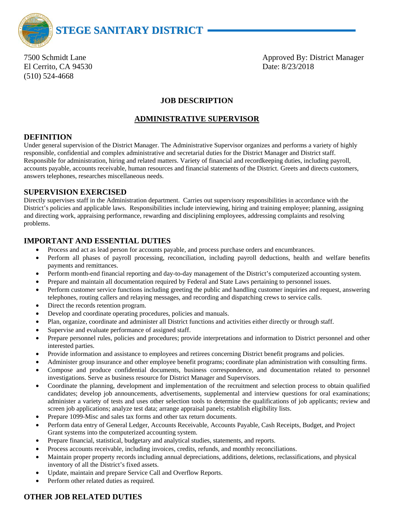

El Cerrito, CA 94530 Date: 8/23/2018 (510) 524-4668

7500 Schmidt Lane Approved By: District Manager

# **JOB DESCRIPTION**

## **ADMINISTRATIVE SUPERVISOR**

## **DEFINITION**

Under general supervision of the District Manager. The Administrative Supervisor organizes and performs a variety of highly responsible, confidential and complex administrative and secretarial duties for the District Manager and District staff. Responsible for administration, hiring and related matters. Variety of financial and recordkeeping duties, including payroll, accounts payable, accounts receivable, human resources and financial statements of the District. Greets and directs customers, answers telephones, researches miscellaneous needs.

### **SUPERVISION EXERCISED**

Directly supervises staff in the Administration department. Carries out supervisory responsibilities in accordance with the District's policies and applicable laws. Responsibilities include interviewing, hiring and training employee; planning, assigning and directing work, appraising performance, rewarding and disciplining employees, addressing complaints and resolving problems.

## **IMPORTANT AND ESSENTIAL DUTIES**

- Process and act as lead person for accounts payable, and process purchase orders and encumbrances.
- Perform all phases of payroll processing, reconciliation, including payroll deductions, health and welfare benefits payments and remittances.
- Perform month-end financial reporting and day-to-day management of the District's computerized accounting system.
- Prepare and maintain all documentation required by Federal and State Laws pertaining to personnel issues.
- Perform customer service functions including greeting the public and handling customer inquiries and request, answering telephones, routing callers and relaying messages, and recording and dispatching crews to service calls.
- Direct the records retention program.
- Develop and coordinate operating procedures, policies and manuals.
- Plan, organize, coordinate and administer all District functions and activities either directly or through staff.
- Supervise and evaluate performance of assigned staff.
- Prepare personnel rules, policies and procedures; provide interpretations and information to District personnel and other interested parties.
- Provide information and assistance to employees and retirees concerning District benefit programs and policies.
- Administer group insurance and other employee benefit programs; coordinate plan administration with consulting firms.
- Compose and produce confidential documents, business correspondence, and documentation related to personnel investigations. Serve as business resource for District Manager and Supervisors.
- Coordinate the planning, development and implementation of the recruitment and selection process to obtain qualified candidates; develop job announcements, advertisements, supplemental and interview questions for oral examinations; administer a variety of tests and uses other selection tools to determine the qualifications of job applicants; review and screen job applications; analyze test data; arrange appraisal panels; establish eligibility lists.
- Prepare 1099-Misc and sales tax forms and other tax return documents.
- Perform data entry of General Ledger, Accounts Receivable, Accounts Payable, Cash Receipts, Budget, and Project Grant systems into the computerized accounting system.
- Prepare financial, statistical, budgetary and analytical studies, statements, and reports.
- Process accounts receivable, including invoices, credits, refunds, and monthly reconciliations.
- Maintain proper property records including annual depreciations, additions, deletions, reclassifications, and physical inventory of all the District's fixed assets.
- Update, maintain and prepare Service Call and Overflow Reports.
- Perform other related duties as required.

## **OTHER JOB RELATED DUTIES**